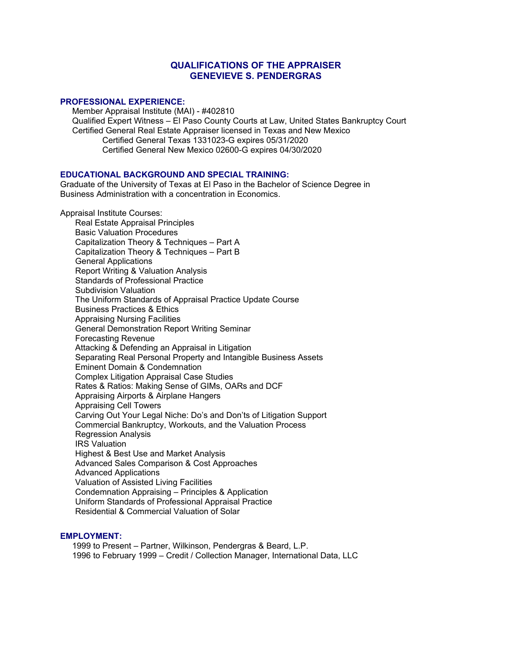# **QUALIFICATIONS OF THE APPRAISER GENEVIEVE S. PENDERGRAS**

## **PROFESSIONAL EXPERIENCE:**

Member Appraisal Institute (MAI) - #402810 Qualified Expert Witness – El Paso County Courts at Law, United States Bankruptcy Court Certified General Real Estate Appraiser licensed in Texas and New Mexico Certified General Texas 1331023-G expires 05/31/2020 Certified General New Mexico 02600-G expires 04/30/2020

# **EDUCATIONAL BACKGROUND AND SPECIAL TRAINING:**

Graduate of the University of Texas at El Paso in the Bachelor of Science Degree in Business Administration with a concentration in Economics.

Appraisal Institute Courses:

Real Estate Appraisal Principles Basic Valuation Procedures Capitalization Theory & Techniques – Part A Capitalization Theory & Techniques – Part B General Applications Report Writing & Valuation Analysis Standards of Professional Practice Subdivision Valuation The Uniform Standards of Appraisal Practice Update Course Business Practices & Ethics Appraising Nursing Facilities General Demonstration Report Writing Seminar Forecasting Revenue Attacking & Defending an Appraisal in Litigation Separating Real Personal Property and Intangible Business Assets Eminent Domain & Condemnation Complex Litigation Appraisal Case Studies Rates & Ratios: Making Sense of GIMs, OARs and DCF Appraising Airports & Airplane Hangers Appraising Cell Towers Carving Out Your Legal Niche: Do's and Don'ts of Litigation Support Commercial Bankruptcy, Workouts, and the Valuation Process Regression Analysis IRS Valuation Highest & Best Use and Market Analysis Advanced Sales Comparison & Cost Approaches Advanced Applications Valuation of Assisted Living Facilities Condemnation Appraising – Principles & Application Uniform Standards of Professional Appraisal Practice Residential & Commercial Valuation of Solar

#### **EMPLOYMENT:**

1999 to Present – Partner, Wilkinson, Pendergras & Beard, L.P. 1996 to February 1999 – Credit / Collection Manager, International Data, LLC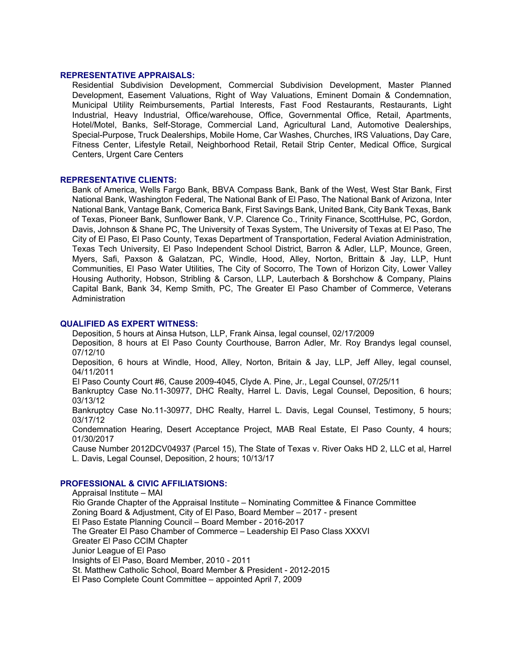## **REPRESENTATIVE APPRAISALS:**

Residential Subdivision Development, Commercial Subdivision Development, Master Planned Development, Easement Valuations, Right of Way Valuations, Eminent Domain & Condemnation, Municipal Utility Reimbursements, Partial Interests, Fast Food Restaurants, Restaurants, Light Industrial, Heavy Industrial, Office/warehouse, Office, Governmental Office, Retail, Apartments, Hotel/Motel, Banks, Self-Storage, Commercial Land, Agricultural Land, Automotive Dealerships, Special-Purpose, Truck Dealerships, Mobile Home, Car Washes, Churches, IRS Valuations, Day Care, Fitness Center, Lifestyle Retail, Neighborhood Retail, Retail Strip Center, Medical Office, Surgical Centers, Urgent Care Centers

#### **REPRESENTATIVE CLIENTS:**

Bank of America, Wells Fargo Bank, BBVA Compass Bank, Bank of the West, West Star Bank, First National Bank, Washington Federal, The National Bank of El Paso, The National Bank of Arizona, Inter National Bank, Vantage Bank, Comerica Bank, First Savings Bank, United Bank, City Bank Texas, Bank of Texas, Pioneer Bank, Sunflower Bank, V.P. Clarence Co., Trinity Finance, ScottHulse, PC, Gordon, Davis, Johnson & Shane PC, The University of Texas System, The University of Texas at El Paso, The City of El Paso, El Paso County, Texas Department of Transportation, Federal Aviation Administration, Texas Tech University, El Paso Independent School District, Barron & Adler, LLP, Mounce, Green, Myers, Safi, Paxson & Galatzan, PC, Windle, Hood, Alley, Norton, Brittain & Jay, LLP, Hunt Communities, El Paso Water Utilities, The City of Socorro, The Town of Horizon City, Lower Valley Housing Authority, Hobson, Stribling & Carson, LLP, Lauterbach & Borshchow & Company, Plains Capital Bank, Bank 34, Kemp Smith, PC, The Greater El Paso Chamber of Commerce, Veterans Administration

## **QUALIFIED AS EXPERT WITNESS:**

Deposition, 5 hours at Ainsa Hutson, LLP, Frank Ainsa, legal counsel, 02/17/2009

Deposition, 8 hours at El Paso County Courthouse, Barron Adler, Mr. Roy Brandys legal counsel, 07/12/10

Deposition, 6 hours at Windle, Hood, Alley, Norton, Britain & Jay, LLP, Jeff Alley, legal counsel, 04/11/2011

El Paso County Court #6, Cause 2009-4045, Clyde A. Pine, Jr., Legal Counsel, 07/25/11

Bankruptcy Case No.11-30977, DHC Realty, Harrel L. Davis, Legal Counsel, Deposition, 6 hours; 03/13/12

Bankruptcy Case No.11-30977, DHC Realty, Harrel L. Davis, Legal Counsel, Testimony, 5 hours; 03/17/12

Condemnation Hearing, Desert Acceptance Project, MAB Real Estate, El Paso County, 4 hours; 01/30/2017

Cause Number 2012DCV04937 (Parcel 15), The State of Texas v. River Oaks HD 2, LLC et al, Harrel L. Davis, Legal Counsel, Deposition, 2 hours; 10/13/17

## **PROFESSIONAL & CIVIC AFFILIATSIONS:**

Appraisal Institute – MAI Rio Grande Chapter of the Appraisal Institute – Nominating Committee & Finance Committee Zoning Board & Adjustment, City of El Paso, Board Member – 2017 - present El Paso Estate Planning Council – Board Member - 2016-2017 The Greater El Paso Chamber of Commerce – Leadership El Paso Class XXXVI Greater El Paso CCIM Chapter Junior League of El Paso Insights of El Paso, Board Member, 2010 - 2011 St. Matthew Catholic School, Board Member & President - 2012-2015 El Paso Complete Count Committee – appointed April 7, 2009